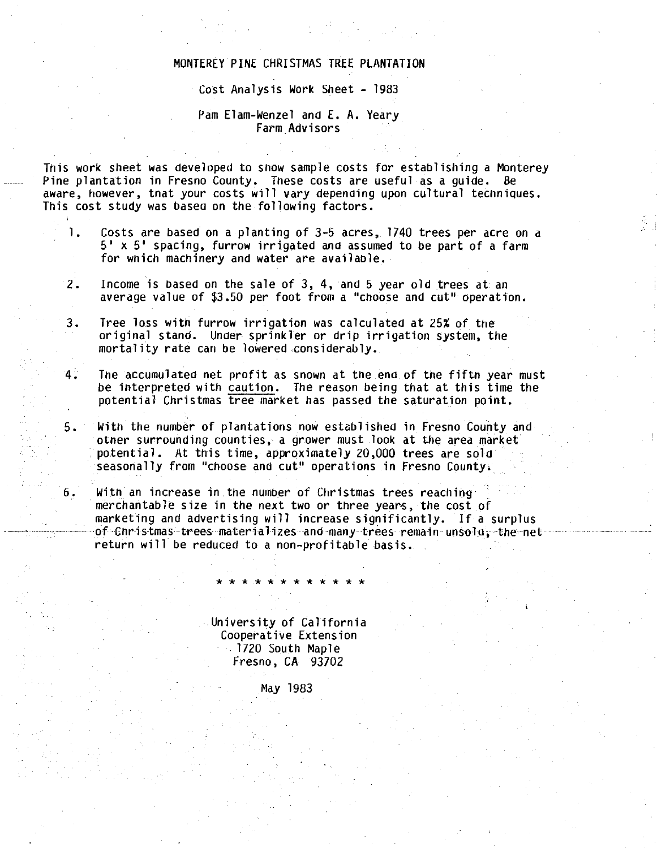## MONTEREY PINE CHRISTMAS TREE PLANTATION

## Cost Analysis Work Sheet - 1983

## Pam Elam-Wenzel and E. A. Yeary Farm.Advisors

This work sheet was developed to show sample costs for establishing a Monterey Pine plantation in Fresno County, These costs are useful as a guide. Be aware, however, tnat your costs will vary depending upon cultural techniques. This cost study was basea on the following factors.

- 1. Costs are based on a planting of 3-5 acres, 1740 trees per acre on a 5' x 5' spacing, furrow irrigated and assumed to be part of a farm for wnich machinery and water are available.
- 2. Income is based on the sale of 3, 4, and 5 year old trees at an average value of \$3.50 per foot from a "choose and cut" operation.
- 3. Tree loss with furrow irrigation was calculated at 25% of the original stand. Under sprinkler or drip irrigation system, the mortality rate can be lowered considerably.
- 4. The accumulated net profit as snown at the ena of the fiftn year must be interpreted with caution. The reason being that at this time the potential Christmas tree market has passed the saturation point.
- 5. With the number of plantations now established in Fresno County and otner surrounding counties, a grower must look at the area market potential. At this time, approximately 20,000 trees are sold seasonally from "choose and cut" operations in Fresno County.
- 6. With an increase in the number of Christmas trees reaching . merchantable size in the next two or three years, the cost of marketing and advertising will increase significantly. If a surplus of Christmas trees materializes and many trees remain unsold, the net return will be reduced to a non-profitable basis.

University of California Cooperative Extension . 1720 South Map 1 e Fresno, CA 93702

\* \* \* \* \* \* \* \* \* \* \* \*

May 1983